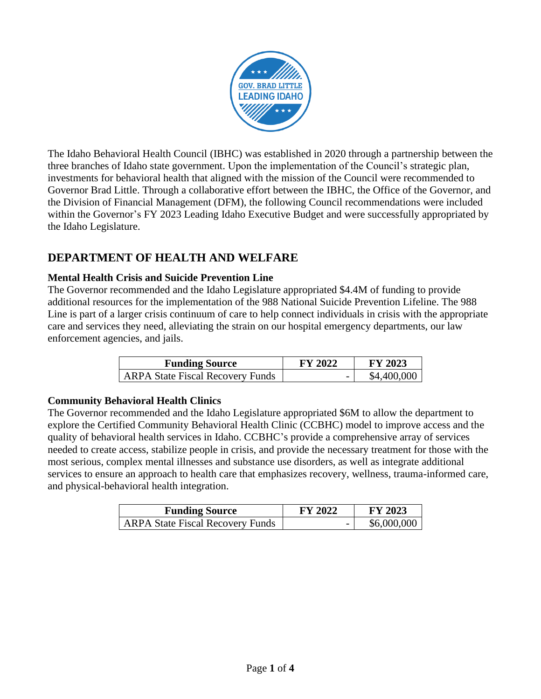

The Idaho Behavioral Health Council (IBHC) was established in 2020 through a partnership between the three branches of Idaho state government. Upon the implementation of the Council's strategic plan, investments for behavioral health that aligned with the mission of the Council were recommended to Governor Brad Little. Through a collaborative effort between the IBHC, the Office of the Governor, and the Division of Financial Management (DFM), the following Council recommendations were included within the Governor's FY 2023 Leading Idaho Executive Budget and were successfully appropriated by the Idaho Legislature.

# **DEPARTMENT OF HEALTH AND WELFARE**

### **Mental Health Crisis and Suicide Prevention Line**

The Governor recommended and the Idaho Legislature appropriated \$4.4M of funding to provide additional resources for the implementation of the 988 National Suicide Prevention Lifeline. The 988 Line is part of a larger crisis continuum of care to help connect individuals in crisis with the appropriate care and services they need, alleviating the strain on our hospital emergency departments, our law enforcement agencies, and jails.

| <b>Funding Source</b>                   | <b>FY 2022</b>           | <b>FY 2023</b> |
|-----------------------------------------|--------------------------|----------------|
| <b>ARPA State Fiscal Recovery Funds</b> | $\overline{\phantom{0}}$ | \$4,400,000    |

### **Community Behavioral Health Clinics**

The Governor recommended and the Idaho Legislature appropriated \$6M to allow the department to explore the Certified Community Behavioral Health Clinic (CCBHC) model to improve access and the quality of behavioral health services in Idaho. CCBHC's provide a comprehensive array of services needed to create access, stabilize people in crisis, and provide the necessary treatment for those with the most serious, complex mental illnesses and substance use disorders, as well as integrate additional services to ensure an approach to health care that emphasizes recovery, wellness, trauma-informed care, and physical-behavioral health integration.

| <b>Funding Source</b>                   | <b>FY 2022</b>           | <b>FY 2023</b> |
|-----------------------------------------|--------------------------|----------------|
| <b>ARPA State Fiscal Recovery Funds</b> | $\overline{\phantom{0}}$ | \$6,000,000    |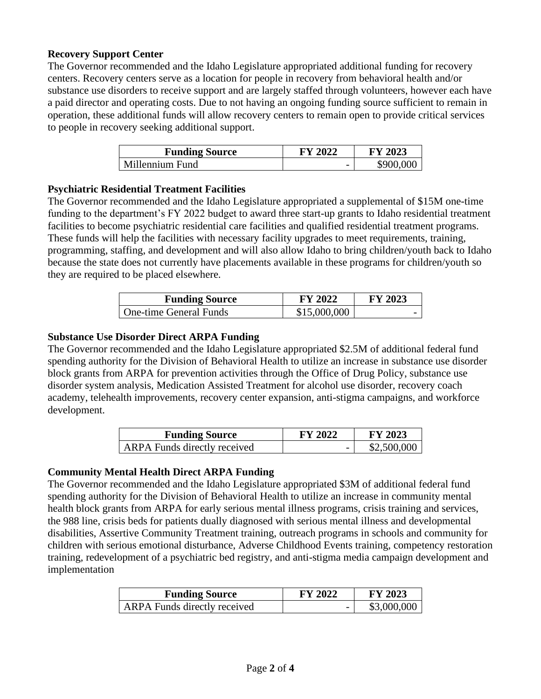### **Recovery Support Center**

The Governor recommended and the Idaho Legislature appropriated additional funding for recovery centers. Recovery centers serve as a location for people in recovery from behavioral health and/or substance use disorders to receive support and are largely staffed through volunteers, however each have a paid director and operating costs. Due to not having an ongoing funding source sufficient to remain in operation, these additional funds will allow recovery centers to remain open to provide critical services to people in recovery seeking additional support.

| <b>Funding Source</b> | FY 2022                  | FY 2023   |
|-----------------------|--------------------------|-----------|
| Millennium Fund       | $\overline{\phantom{0}}$ | \$900,000 |

### **Psychiatric Residential Treatment Facilities**

The Governor recommended and the Idaho Legislature appropriated a supplemental of \$15M one-time funding to the department's FY 2022 budget to award three start-up grants to Idaho residential treatment facilities to become psychiatric residential care facilities and qualified residential treatment programs. These funds will help the facilities with necessary facility upgrades to meet requirements, training, programming, staffing, and development and will also allow Idaho to bring children/youth back to Idaho because the state does not currently have placements available in these programs for children/youth so they are required to be placed elsewhere.

| <b>Funding Source</b>  | <b>FY 2022</b> | <b>FY 2023</b> |
|------------------------|----------------|----------------|
| One-time General Funds | \$15,000,000   |                |

### **Substance Use Disorder Direct ARPA Funding**

The Governor recommended and the Idaho Legislature appropriated \$2.5M of additional federal fund spending authority for the Division of Behavioral Health to utilize an increase in substance use disorder block grants from ARPA for prevention activities through the Office of Drug Policy, substance use disorder system analysis, Medication Assisted Treatment for alcohol use disorder, recovery coach academy, telehealth improvements, recovery center expansion, anti-stigma campaigns, and workforce development.

| <b>Funding Source</b>               | <b>FY 2022</b>           | <b>FY 2023</b> |
|-------------------------------------|--------------------------|----------------|
| <b>ARPA</b> Funds directly received | $\overline{\phantom{0}}$ | \$2,500,000    |

### **Community Mental Health Direct ARPA Funding**

The Governor recommended and the Idaho Legislature appropriated \$3M of additional federal fund spending authority for the Division of Behavioral Health to utilize an increase in community mental health block grants from ARPA for early serious mental illness programs, crisis training and services, the 988 line, crisis beds for patients dually diagnosed with serious mental illness and developmental disabilities, Assertive Community Treatment training, outreach programs in schools and community for children with serious emotional disturbance, Adverse Childhood Events training, competency restoration training, redevelopment of a psychiatric bed registry, and anti-stigma media campaign development and implementation

| <b>Funding Source</b>               | <b>FY 2022</b>           | <b>FY 2023</b> |
|-------------------------------------|--------------------------|----------------|
| <b>ARPA</b> Funds directly received | $\overline{\phantom{a}}$ | \$3,000,000    |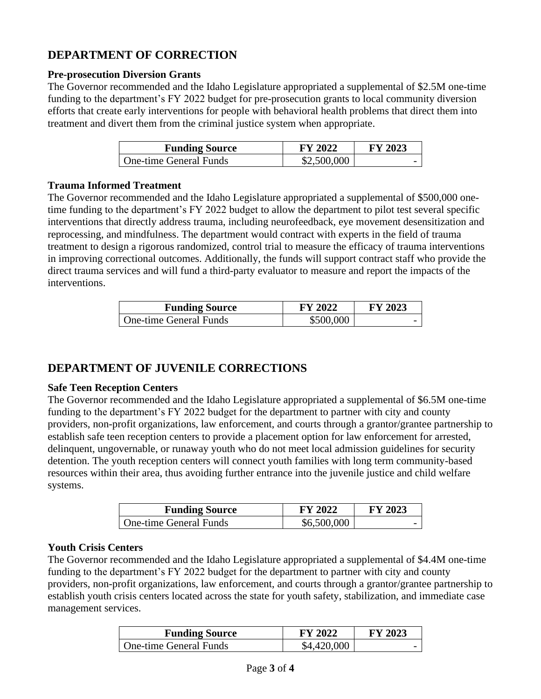# **DEPARTMENT OF CORRECTION**

### **Pre-prosecution Diversion Grants**

The Governor recommended and the Idaho Legislature appropriated a supplemental of \$2.5M one-time funding to the department's FY 2022 budget for pre-prosecution grants to local community diversion efforts that create early interventions for people with behavioral health problems that direct them into treatment and divert them from the criminal justice system when appropriate.

| <b>Funding Source</b>  | <b>FY 2022</b> | <b>FY 2023</b> |
|------------------------|----------------|----------------|
| One-time General Funds | \$2,500,000    |                |

#### **Trauma Informed Treatment**

The Governor recommended and the Idaho Legislature appropriated a supplemental of \$500,000 onetime funding to the department's FY 2022 budget to allow the department to pilot test several specific interventions that directly address trauma, including neurofeedback, eye movement desensitization and reprocessing, and mindfulness. The department would contract with experts in the field of trauma treatment to design a rigorous randomized, control trial to measure the efficacy of trauma interventions in improving correctional outcomes. Additionally, the funds will support contract staff who provide the direct trauma services and will fund a third-party evaluator to measure and report the impacts of the interventions.

| <b>Funding Source</b>  | <b>FY 2022</b> | FY 2023 |
|------------------------|----------------|---------|
| One-time General Funds | \$500,000      |         |

## **DEPARTMENT OF JUVENILE CORRECTIONS**

#### **Safe Teen Reception Centers**

The Governor recommended and the Idaho Legislature appropriated a supplemental of \$6.5M one-time funding to the department's FY 2022 budget for the department to partner with city and county providers, non-profit organizations, law enforcement, and courts through a grantor/grantee partnership to establish safe teen reception centers to provide a placement option for law enforcement for arrested, delinquent, ungovernable, or runaway youth who do not meet local admission guidelines for security detention. The youth reception centers will connect youth families with long term community-based resources within their area, thus avoiding further entrance into the juvenile justice and child welfare systems.

| <b>Funding Source</b>  | <b>FY 2022</b> | <b>FY 2023</b> |
|------------------------|----------------|----------------|
| One-time General Funds | \$6,500,000    |                |

#### **Youth Crisis Centers**

The Governor recommended and the Idaho Legislature appropriated a supplemental of \$4.4M one-time funding to the department's FY 2022 budget for the department to partner with city and county providers, non-profit organizations, law enforcement, and courts through a grantor/grantee partnership to establish youth crisis centers located across the state for youth safety, stabilization, and immediate case management services.

| <b>Funding Source</b>         | FY 2022     | <b>FY 2023</b> |
|-------------------------------|-------------|----------------|
| <b>One-time General Funds</b> | \$4,420,000 |                |